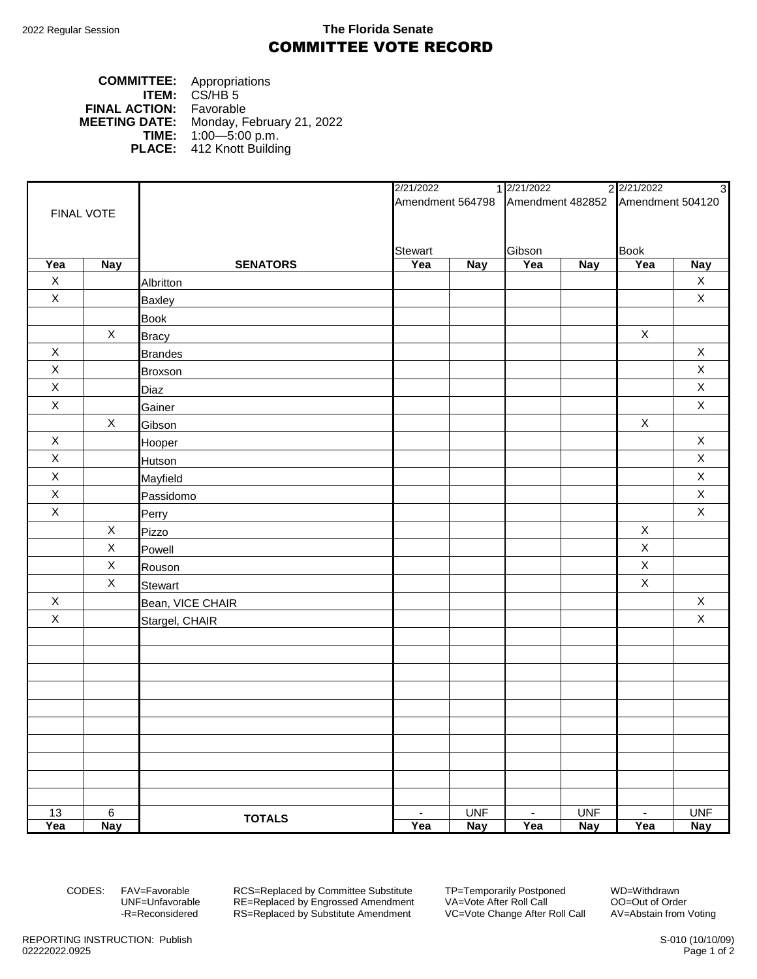## 2022 Regular Session **The Florida Senate** COMMITTEE VOTE RECORD

## **COMMITTEE:** Appropriations **ITEM:** CS/HB 5 **FINAL ACTION:** Favorable **MEETING DATE:** Monday, February 21, 2022 **TIME:** 1:00—5:00 p.m. **PLACE:** 412 Knott Building

|              |              |                  | 2/21/2022      |            | 1 2/21/2022<br>2 2/21/2022<br>3                    |            |                |             |
|--------------|--------------|------------------|----------------|------------|----------------------------------------------------|------------|----------------|-------------|
|              |              |                  |                |            | Amendment 564798 Amendment 482852 Amendment 504120 |            |                |             |
| FINAL VOTE   |              |                  |                |            |                                                    |            |                |             |
|              |              |                  |                |            |                                                    |            |                |             |
|              |              |                  | <b>Stewart</b> |            | Gibson                                             |            | <b>Book</b>    |             |
| Yea          | <b>Nay</b>   | <b>SENATORS</b>  | Yea            | <b>Nay</b> | Yea                                                | <b>Nay</b> | Yea            | <b>Nay</b>  |
| $\mathsf X$  |              | Albritton        |                |            |                                                    |            |                | $\mathsf X$ |
| $\mathsf{X}$ |              | <b>Baxley</b>    |                |            |                                                    |            |                | $\mathsf X$ |
|              |              | <b>Book</b>      |                |            |                                                    |            |                |             |
|              | $\mathsf{X}$ | <b>Bracy</b>     |                |            |                                                    |            | $\mathsf X$    |             |
| $\mathsf X$  |              | <b>Brandes</b>   |                |            |                                                    |            |                | $\mathsf X$ |
| $\mathsf X$  |              | <b>Broxson</b>   |                |            |                                                    |            |                | $\mathsf X$ |
| $\mathsf X$  |              | Diaz             |                |            |                                                    |            |                | $\mathsf X$ |
| $\mathsf X$  |              | Gainer           |                |            |                                                    |            |                | $\mathsf X$ |
|              | $\mathsf{X}$ | Gibson           |                |            |                                                    |            | $\mathsf X$    |             |
| $\mathsf X$  |              | Hooper           |                |            |                                                    |            |                | $\mathsf X$ |
| $\mathsf X$  |              | <b>Hutson</b>    |                |            |                                                    |            |                | $\mathsf X$ |
| $\mathsf X$  |              | Mayfield         |                |            |                                                    |            |                | $\mathsf X$ |
| $\mathsf X$  |              | Passidomo        |                |            |                                                    |            |                | $\mathsf X$ |
| $\mathsf X$  |              | Perry            |                |            |                                                    |            |                | $\mathsf X$ |
|              | $\mathsf X$  | Pizzo            |                |            |                                                    |            | $\mathsf X$    |             |
|              | X            | Powell           |                |            |                                                    |            | $\mathsf X$    |             |
|              | $\mathsf X$  | Rouson           |                |            |                                                    |            | $\mathsf X$    |             |
|              | X            | <b>Stewart</b>   |                |            |                                                    |            | X              |             |
| $\mathsf{X}$ |              | Bean, VICE CHAIR |                |            |                                                    |            |                | $\mathsf X$ |
| $\mathsf{X}$ |              | Stargel, CHAIR   |                |            |                                                    |            |                | $\mathsf X$ |
|              |              |                  |                |            |                                                    |            |                |             |
|              |              |                  |                |            |                                                    |            |                |             |
|              |              |                  |                |            |                                                    |            |                |             |
|              |              |                  |                |            |                                                    |            |                |             |
|              |              |                  |                |            |                                                    |            |                |             |
|              |              |                  |                |            |                                                    |            |                |             |
|              |              |                  |                |            |                                                    |            |                |             |
|              |              |                  |                |            |                                                    |            |                |             |
|              |              |                  |                |            |                                                    |            |                |             |
|              |              |                  |                |            |                                                    |            |                |             |
| 13           | $\,6\,$      |                  | $\blacksquare$ | <b>UNF</b> | $\blacksquare$                                     | <b>UNF</b> | $\blacksquare$ | <b>UNF</b>  |
| Yea          | <b>Nay</b>   | <b>TOTALS</b>    | Yea            | <b>Nay</b> | Yea                                                | <b>Nay</b> | Yea            | <b>Nay</b>  |

CODES: FAV=Favorable RCS=Replaced by Committee Substitute TP=Temporarily Postponed WD=Withdrawn<br>UNF=Unfavorable RE=Replaced by Engrossed Amendment VA=Vote After Roll Call 00=Out of Order UNF=Unfavorable RE=Replaced by Engrossed Amendment<br>-R=Reconsidered RS=Replaced by Substitute Amendment RS=Replaced by Substitute Amendment VC=Vote Change After Roll Call AV=Abstain from Voting